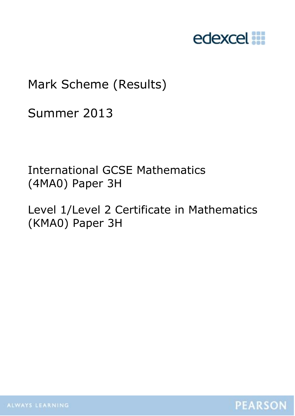

# Mark Scheme (Results)

Summer 2013

International GCSE Mathematics (4MA0) Paper 3H

Level 1/Level 2 Certificate in Mathematics (KMA0) Paper 3H

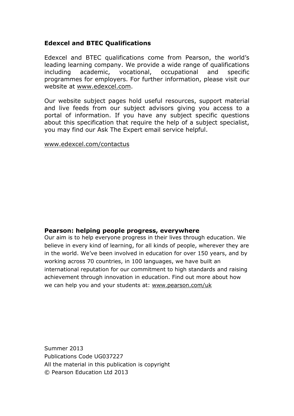#### **Edexcel and BTEC Qualifications**

Edexcel and BTEC qualifications come from Pearson, the world"s leading learning company. We provide a wide range of qualifications including academic, vocational, occupational and specific programmes for employers. For further information, please visit our website at [www.edexcel.com.](http://www.edexcel.com/)

Our website subject pages hold useful resources, support material and live feeds from our subject advisors giving you access to a portal of information. If you have any subject specific questions about this specification that require the help of a subject specialist, you may find our Ask The Expert email service helpful.

[www.edexcel.com/contactus](http://www.edexcel.com/contactus)

#### **Pearson: helping people progress, everywhere**

Our aim is to help everyone progress in their lives through education. We believe in every kind of learning, for all kinds of people, wherever they are in the world. We"ve been involved in education for over 150 years, and by working across 70 countries, in 100 languages, we have built an international reputation for our commitment to high standards and raising achievement through innovation in education. Find out more about how we can help you and your students at: [www.pearson.com/uk](http://www.pearson.com/uk)

Summer 2013 Publications Code UG037227 All the material in this publication is copyright © Pearson Education Ltd 2013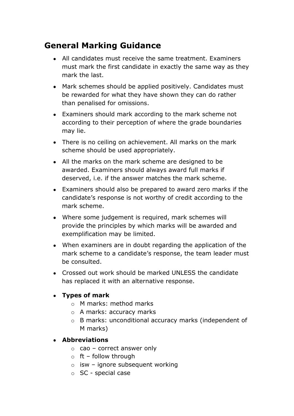## **General Marking Guidance**

- All candidates must receive the same treatment. Examiners must mark the first candidate in exactly the same way as they mark the last.
- Mark schemes should be applied positively. Candidates must be rewarded for what they have shown they can do rather than penalised for omissions.
- Examiners should mark according to the mark scheme not according to their perception of where the grade boundaries may lie.
- There is no ceiling on achievement. All marks on the mark scheme should be used appropriately.
- All the marks on the mark scheme are designed to be awarded. Examiners should always award full marks if deserved, i.e. if the answer matches the mark scheme.
- Examiners should also be prepared to award zero marks if the candidate"s response is not worthy of credit according to the mark scheme.
- Where some judgement is required, mark schemes will provide the principles by which marks will be awarded and exemplification may be limited.
- When examiners are in doubt regarding the application of the mark scheme to a candidate's response, the team leader must be consulted.
- Crossed out work should be marked UNLESS the candidate has replaced it with an alternative response.

#### **Types of mark**

- o M marks: method marks
- o A marks: accuracy marks
- o B marks: unconditional accuracy marks (independent of M marks)

#### **Abbreviations**

- $\circ$  cao correct answer only
- $\circ$  ft follow through
- $\circ$  isw ignore subsequent working
- o SC special case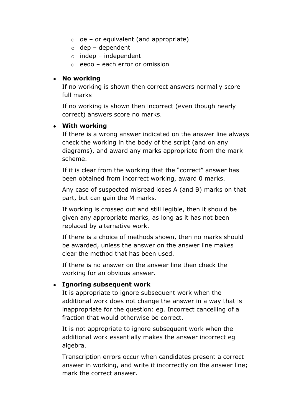- $\circ$  oe or equivalent (and appropriate)
- $\circ$  dep dependent
- $\circ$  indep independent
- o eeoo each error or omission

#### **No working**

If no working is shown then correct answers normally score full marks

If no working is shown then incorrect (even though nearly correct) answers score no marks.

#### **With working**

If there is a wrong answer indicated on the answer line always check the working in the body of the script (and on any diagrams), and award any marks appropriate from the mark scheme.

If it is clear from the working that the "correct" answer has been obtained from incorrect working, award 0 marks.

Any case of suspected misread loses A (and B) marks on that part, but can gain the M marks.

If working is crossed out and still legible, then it should be given any appropriate marks, as long as it has not been replaced by alternative work.

If there is a choice of methods shown, then no marks should be awarded, unless the answer on the answer line makes clear the method that has been used.

If there is no answer on the answer line then check the working for an obvious answer.

#### **Ignoring subsequent work**

It is appropriate to ignore subsequent work when the additional work does not change the answer in a way that is inappropriate for the question: eg. Incorrect cancelling of a fraction that would otherwise be correct.

It is not appropriate to ignore subsequent work when the additional work essentially makes the answer incorrect eg algebra.

Transcription errors occur when candidates present a correct answer in working, and write it incorrectly on the answer line; mark the correct answer.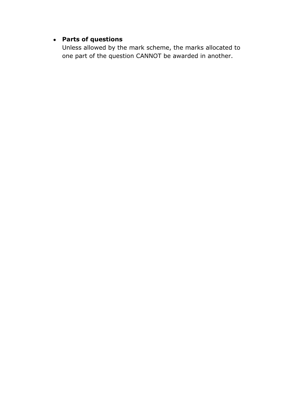### **Parts of questions**

Unless allowed by the mark scheme, the marks allocated to one part of the question CANNOT be awarded in another.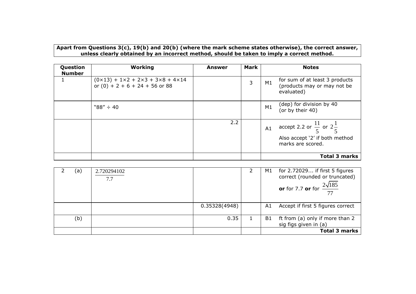**Apart from Questions 3(c), 19(b) and 20(b) (where the mark scheme states otherwise), the correct answer, unless clearly obtained by an incorrect method, should be taken to imply a correct method.**

| Question<br><b>Number</b> | Working                                                                                                  | Answer | <b>Mark</b> | <b>Notes</b>                                                                                                |
|---------------------------|----------------------------------------------------------------------------------------------------------|--------|-------------|-------------------------------------------------------------------------------------------------------------|
|                           | $(0 \times 13) + 1 \times 2 + 2 \times 3 + 3 \times 8 + 4 \times 14$<br>or $(0) + 2 + 6 + 24 + 56$ or 88 |        | 3           | for sum of at least 3 products<br>M1<br>(products may or may not be<br>evaluated)                           |
|                           | $"88" \div 40$                                                                                           |        |             | (dep) for division by 40<br>M1<br>(or by their 40)                                                          |
|                           |                                                                                                          | 2.2    |             | accept 2.2 or $\frac{11}{5}$ or $2\frac{1}{5}$<br>A1<br>Also accept '2' if both method<br>marks are scored. |
|                           |                                                                                                          |        |             | <b>Total 3 marks</b>                                                                                        |

| (a) | 2.720294102<br>7.7 |               | M1 | for 2.72029 if first 5 figures<br>correct (rounded or truncated)<br><b>or</b> for 7.7 <b>or</b> for $\frac{2\sqrt{185}}{77}$ |
|-----|--------------------|---------------|----|------------------------------------------------------------------------------------------------------------------------------|
|     |                    | 0.35328(4948) | A1 | Accept if first 5 figures correct                                                                                            |
| (b) |                    | 0.35          | B1 | ft from (a) only if more than 2<br>sig figs given in (a)                                                                     |
|     |                    |               |    | <b>Total 3 marks</b>                                                                                                         |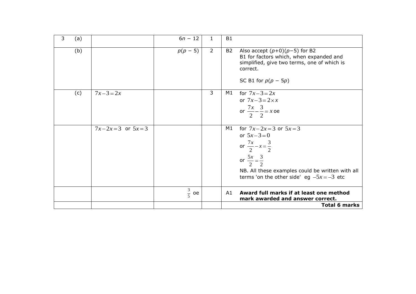| 3<br>(a) |                     | $6n - 12$         | 1              | <b>B1</b>                                                                                                                                                                                                                 |
|----------|---------------------|-------------------|----------------|---------------------------------------------------------------------------------------------------------------------------------------------------------------------------------------------------------------------------|
| (b)      |                     | $p(p - 5)$        | $\overline{2}$ | <b>B2</b><br>Also accept $(p+0)(p-5)$ for B2<br>B1 for factors which, when expanded and<br>simplified, give two terms, one of which is<br>correct.<br>SC B1 for $p(p - 5p)$                                               |
| (c)      | $7x-3=2x$           |                   | 3              | M1<br>for $7x-3=2x$<br>or $7x-3=2\times x$<br>or $\frac{7x}{2} - \frac{3}{2} = x$ oe                                                                                                                                      |
|          | $7x-2x=3$ or $5x=3$ |                   |                | for $7x-2x=3$ or $5x=3$<br>M1<br>or $5x-3=0$<br>or $\frac{7x}{2} - x = \frac{3}{2}$<br>or $\frac{5x}{2} = \frac{3}{2}$<br>NB. All these examples could be written with all<br>terms 'on the other side' eg $-5x = -3$ etc |
|          |                     | $rac{3}{5}$<br>oe |                | Award full marks if at least one method<br>A1<br>mark awarded and answer correct.<br><b>Total 6 marks</b>                                                                                                                 |
|          |                     |                   |                |                                                                                                                                                                                                                           |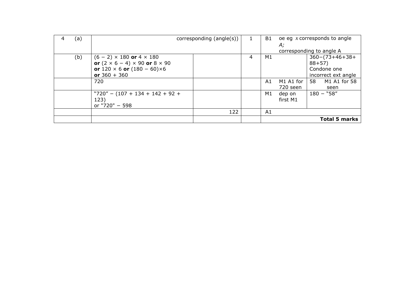| (a) |                                                  | corresponding (angle(s)) |   | B1 |           | oe eg $x$ corresponds to angle |
|-----|--------------------------------------------------|--------------------------|---|----|-----------|--------------------------------|
|     |                                                  |                          |   |    | А;        |                                |
|     |                                                  |                          |   |    |           | corresponding to angle A       |
| (b) | $(6 - 2) \times 180$ or $4 \times 180$           |                          | 4 | М1 |           | $360 - (73 + 46 + 38 +$        |
|     | or $(2 \times 6 - 4) \times 90$ or $8 \times 90$ |                          |   |    |           | $88 + 57$                      |
|     | or $120 \times 6$ or $(180 - 60) \times 6$       |                          |   |    |           | Condone one                    |
|     | or $360 + 360$                                   |                          |   |    |           | incorrect ext angle            |
|     | 720                                              |                          |   | A1 | M1 A1 for | 58<br>M1 A1 for 58             |
|     |                                                  |                          |   |    | 720 seen  | seen                           |
|     | $"720" - (107 + 134 + 142 + 92 +$                |                          |   | M1 | dep on    | $180 - "58"$                   |
|     | 123)                                             |                          |   |    | first M1  |                                |
|     | or "720" - 598                                   |                          |   |    |           |                                |
|     |                                                  | 122                      |   | A1 |           |                                |
|     |                                                  |                          |   |    |           | <b>Total 5 marks</b>           |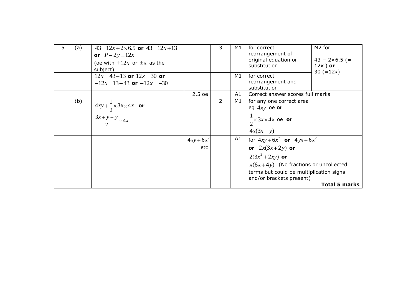| 5. | (a) | $43 = 12x + 2 \times 6.5$ or $43 = 12x + 13$<br>or $P-2y=12x$<br>(oe with $\pm 12x$ or $\pm x$ as the<br>subject) |              | 3 | M1 | for correct<br>rearrangement of<br>original equation or<br>substitution                             | M <sub>2</sub> for<br>$43 - 2 \times 6.5 (=$<br>$12x$ ) or<br>30 $(=12x)$ |
|----|-----|-------------------------------------------------------------------------------------------------------------------|--------------|---|----|-----------------------------------------------------------------------------------------------------|---------------------------------------------------------------------------|
|    |     | $12x = 43 - 13$ or $12x = 30$ or<br>$-12x=13-43$ or $-12x=-30$                                                    |              |   | M1 | for correct<br>rearrangement and<br>substitution                                                    |                                                                           |
|    |     |                                                                                                                   | $2.5$ oe     |   | A1 | Correct answer scores full marks                                                                    |                                                                           |
|    | (b) | $4xy + \frac{1}{2} \times 3x \times 4x$ or<br>$\frac{3x+y+y}{2} \times 4x$                                        |              | 2 | M1 | for any one correct area<br>eg $4xy$ oe or<br>$\frac{1}{2} \times 3x \times 4x$ oe or<br>$4x(3x+y)$ |                                                                           |
|    |     |                                                                                                                   | $4xy + 6x^2$ |   | A1 | for $4xy + 6x^2$ or $4yx + 6x^2$                                                                    |                                                                           |
|    |     |                                                                                                                   | etc          |   |    | or $2x(3x+2y)$ or                                                                                   |                                                                           |
|    |     |                                                                                                                   |              |   |    | $2(3x^2+2xy)$ or                                                                                    |                                                                           |
|    |     |                                                                                                                   |              |   |    | $x(6x+4y)$ (No fractions or uncollected                                                             |                                                                           |
|    |     |                                                                                                                   |              |   |    | terms but could be multiplication signs<br>and/or brackets present)                                 |                                                                           |
|    |     |                                                                                                                   |              |   |    |                                                                                                     | <b>Total 5 marks</b>                                                      |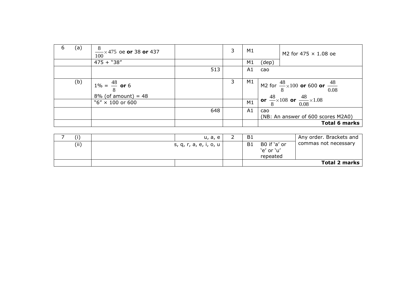| b | (a) | $\frac{8}{100}$ × 475 oe <b>or</b> 38 <b>or</b> 437<br>100 |     | 3 | M1 |       | M2 for 475 $\times$ 1.08 oe                                  |
|---|-----|------------------------------------------------------------|-----|---|----|-------|--------------------------------------------------------------|
|   |     | $475 + "38"$                                               |     |   | M1 | (dep) |                                                              |
|   |     |                                                            | 513 |   | A1 | cao   |                                                              |
|   | (b) | $1\% = \frac{48}{8}$ or 6                                  |     | 3 | M1 |       | M2 for $\frac{48}{8} \times 100$ or 600 or $\frac{48}{0.08}$ |
|   |     | $8\%$ (of amount) = 48                                     |     |   |    |       | or $\frac{48}{8}\times108$ or $\frac{48}{0.08}\times1.08$    |
|   |     | " $6'' \times 100$ or 600                                  |     |   | M1 |       |                                                              |
|   |     |                                                            | 648 |   | A1 | cao   |                                                              |
|   |     |                                                            |     |   |    |       | (NB: An answer of 600 scores M2A0)                           |
|   |     |                                                            |     |   |    |       | <b>Total 6 marks</b>                                         |

| (i)  | u, a, e                | <b>B1</b>      |                            | Any order. Brackets and |
|------|------------------------|----------------|----------------------------|-------------------------|
| (ii) | s, q, r, a, e, i, o, u | B <sub>1</sub> | B0 if 'a' or<br>'e' or 'u' | commas not necessary    |
|      |                        |                | repeated                   |                         |
|      |                        |                |                            | <b>Total 2 marks</b>    |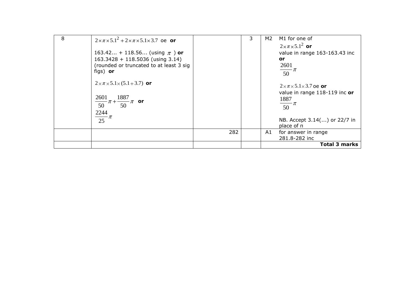| 8 | $2 \times \pi \times 5.1^2 + 2 \times \pi \times 5.1 \times 3.7$ oe or |     | 3 | M2 | M1 for one of                        |
|---|------------------------------------------------------------------------|-----|---|----|--------------------------------------|
|   |                                                                        |     |   |    | $2 \times \pi \times 5.1^2$ or       |
|   | 163.42 + 118.56 (using $\pi$ ) or                                      |     |   |    | value in range 163-163.43 inc        |
|   | $163.3428 + 118.5036$ (using 3.14)                                     |     |   |    | or.                                  |
|   | (rounded or truncated to at least 3 sig                                |     |   |    | $\frac{2601}{50}\pi$                 |
|   | figs) or                                                               |     |   |    |                                      |
|   | $2 \times \pi \times 5.1 \times (5.1 + 3.7)$ or                        |     |   |    |                                      |
|   |                                                                        |     |   |    | $2\times\pi\times5.1\times3.7$ oe or |
|   | 1887<br>2601                                                           |     |   |    | value in range 118-119 inc or        |
|   | $-\pi + \frac{200}{50} \pi$ or<br>$\overline{50}$                      |     |   |    | $\frac{1887}{50}\pi$                 |
|   |                                                                        |     |   |    |                                      |
|   | $\frac{2244}{25}\pi$                                                   |     |   |    |                                      |
|   |                                                                        |     |   |    | NB. Accept 3.14() or 22/7 in         |
|   |                                                                        |     |   |    | place of $\pi$                       |
|   |                                                                        | 282 |   | A1 | for answer in range<br>281.8-282 inc |
|   |                                                                        |     |   |    |                                      |
|   |                                                                        |     |   |    | <b>Total 3 marks</b>                 |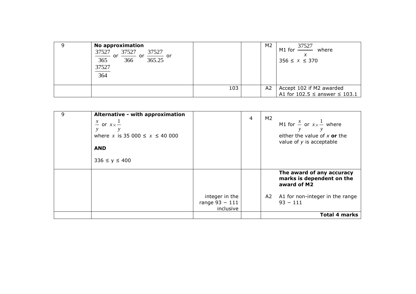| <b>No approximation</b><br>37527<br>37527<br>37527<br>$\frac{1}{365}$ or $\frac{1}{366}$ or $\frac{1}{365.25}$ or<br>37527<br>364 |     | M2             | M1 for $\frac{37527}{2}$<br>where<br>$356 \le x \le 370$          |
|-----------------------------------------------------------------------------------------------------------------------------------|-----|----------------|-------------------------------------------------------------------|
|                                                                                                                                   | 103 | A <sub>2</sub> | Accept 102 if M2 awarded<br>A1 for $102.5 \le$ answer $\le 103.1$ |

| 9 | Alternative - with approximation<br>$\frac{x}{-}$ or $x \times \frac{1}{-}$<br>where x is 35 000 $\le x \le 40000$<br><b>AND</b><br>$336 \le y \le 400$ |                                                 | 4 | M2 | M1 for $\frac{x}{x}$ or $x \times \frac{1}{x}$ where<br>either the value of $x$ or the<br>value of $y$ is acceptable      |
|---|---------------------------------------------------------------------------------------------------------------------------------------------------------|-------------------------------------------------|---|----|---------------------------------------------------------------------------------------------------------------------------|
|   |                                                                                                                                                         | integer in the<br>range $93 - 111$<br>inclusive |   |    | The award of any accuracy<br>marks is dependent on the<br>award of M2<br>A2 A1 for non-integer in the range<br>$93 - 111$ |
|   |                                                                                                                                                         |                                                 |   |    | <b>Total 4 marks</b>                                                                                                      |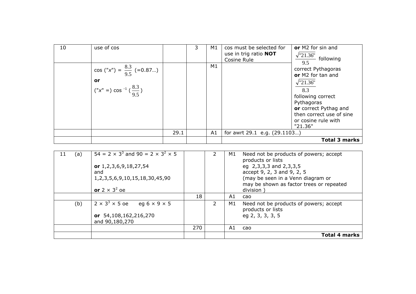| 10 | use of cos                                                                            |      | 3 | M1 | cos must be selected for<br>use in trig ratio NOT<br>Cosine Rule | or M2 for sin and<br>$\frac{\sqrt{21.36}}{2}$ following                                                                                                                                      |
|----|---------------------------------------------------------------------------------------|------|---|----|------------------------------------------------------------------|----------------------------------------------------------------------------------------------------------------------------------------------------------------------------------------------|
|    | cos ("x") = $\frac{8.3}{9.5}$ (=0.87)<br>or<br>$(x'' = ) \cos^{-1} (\frac{8.3}{9.5})$ |      |   | M1 |                                                                  | correct Pythagoras<br>or M2 for tan and<br>$\sqrt{21.36}$ "<br>8.3<br>following correct<br>Pythagoras<br>or correct Pythag and<br>then correct use of sine<br>or cosine rule with<br>"21.36" |
|    |                                                                                       | 29.1 |   | A1 | for awrt 29.1 e.g. (29.1103)                                     |                                                                                                                                                                                              |
|    |                                                                                       |      |   |    |                                                                  | <b>Total 3 marks</b>                                                                                                                                                                         |

| (a)<br>11 | $54 = 2 \times 3^3$ and $90 = 2 \times 3^2 \times 5$<br>or 1,2,3,6,9,18,27,54<br>and<br>1, 2, 3, 5, 6, 9, 10, 15, 18, 30, 45, 90<br>or $2 \times 3^2$ oe |     |   | M1 | Need not be products of powers; accept<br>products or lists<br>eg 2,3,3,3 and 2,3,3,5<br>accept 9, 2, 3 and 9, 2, 5<br>(may be seen in a Venn diagram or<br>may be shown as factor trees or repeated<br>division |
|-----------|----------------------------------------------------------------------------------------------------------------------------------------------------------|-----|---|----|------------------------------------------------------------------------------------------------------------------------------------------------------------------------------------------------------------------|
|           |                                                                                                                                                          | 18  |   | A1 | cao                                                                                                                                                                                                              |
| (b)       | $2 \times 3^3 \times 5$ oe<br>eg 6 $\times$ 9 $\times$ 5<br>or 54,108,162,216,270<br>and 90,180,270                                                      |     | 2 | M1 | Need not be products of powers; accept<br>products or lists<br>eg 2, 3, 3, 3, 5                                                                                                                                  |
|           |                                                                                                                                                          | 270 |   | A1 | cao                                                                                                                                                                                                              |
|           |                                                                                                                                                          |     |   |    | <b>Total 4 marks</b>                                                                                                                                                                                             |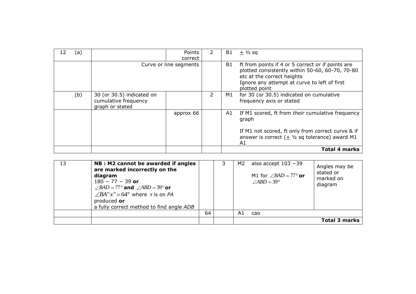| 12 | (a) |                                                                      | Points<br>correct      | 2 | B1 | $+ \frac{1}{2}$ sq                                                                                                                                                                                  |
|----|-----|----------------------------------------------------------------------|------------------------|---|----|-----------------------------------------------------------------------------------------------------------------------------------------------------------------------------------------------------|
|    |     |                                                                      | Curve or line segments |   | B1 | ft from points if 4 or 5 correct or if points are<br>plotted consistently within 50-60, 60-70, 70-80<br>etc at the correct heights<br>Ignore any attempt at curve to left of first<br>plotted point |
|    | (b) | 30 (or 30.5) indicated on<br>cumulative frequency<br>graph or stated |                        |   | M1 | for 30 (or 30.5) indicated on cumulative<br>frequency axis or stated                                                                                                                                |
|    |     |                                                                      | approx 66              |   | A1 | If M1 scored, ft from their cumulative frequency<br>graph                                                                                                                                           |
|    |     |                                                                      |                        |   |    | If M1 not scored, ft only from correct curve & if<br>answer is correct $(\pm \frac{1}{2})$ sq tolerance) award M1<br>A1                                                                             |
|    |     |                                                                      |                        |   |    | <b>Total 4 marks</b>                                                                                                                                                                                |

| 13 | NB : M2 cannot be awarded if angles<br>are marked incorrectly on the<br>diagram<br>$180 - 77 - 39$ or<br>$\angle BAD = 77^\circ$ and $\angle ABD = 39^\circ$ or<br>$\angle BA''x''=64^{\circ}$ where x is on PA<br>produced or<br>a fully correct method to find angle ADB |    | M2 | also accept $103 - 39$<br>M1 for $\angle BAD = 77^\circ$ or<br>$\angle ABD = 39^\circ$ | Angles may be<br>stated or<br>marked on<br>diagram |
|----|----------------------------------------------------------------------------------------------------------------------------------------------------------------------------------------------------------------------------------------------------------------------------|----|----|----------------------------------------------------------------------------------------|----------------------------------------------------|
|    |                                                                                                                                                                                                                                                                            | 64 | A1 | cao                                                                                    |                                                    |
|    |                                                                                                                                                                                                                                                                            |    |    |                                                                                        | Total 3 marks                                      |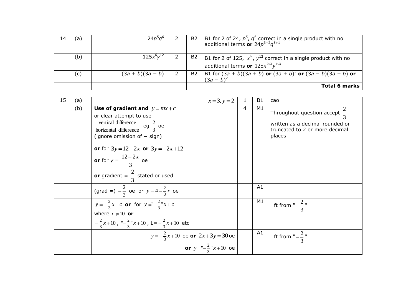| (a) | $24p^5q$           |                            | B2 | B1 for 2 of 24, $p^5$ , $q^6$ correct in a single product with no<br>additional terms or $24p^{3+2}q^{5+1}$                |
|-----|--------------------|----------------------------|----|----------------------------------------------------------------------------------------------------------------------------|
| (b) | $125x^{6}y^{12}$   |                            | B2 | B1 for 2 of 125, $x^6$ , $y^{12}$ correct in a single product with no<br>additional terms or $125x^{2\times3}y^{4\times3}$ |
| (c) | $(3a + b)(3a - b)$ | $\overline{\phantom{0}}$ 2 | B2 | B1 for $(3a + b)(3a + b)$ or $(3a + b)^2$ or $(3a - b)(3a - b)$ or<br>$(3a - b)^2$                                         |
|     |                    |                            |    | Total 6 marks                                                                                                              |

| 15<br>(a) |                                                                                                                                                                                                                                                  | $x = 3, y = 2$                 | 1 | <b>B1</b> | cao                                                                                                                     |
|-----------|--------------------------------------------------------------------------------------------------------------------------------------------------------------------------------------------------------------------------------------------------|--------------------------------|---|-----------|-------------------------------------------------------------------------------------------------------------------------|
| (b)       | Use of gradient and $y = mx + c$<br>or clear attempt to use<br>vertical difference eg $\frac{2}{3}$ oe<br>horizontal difference<br>(ignore omission of $-$ sign)<br>or for $3y=12-2x$ or $3y=-2x+12$<br><b>or</b> for $y = \frac{12 - 2x}{3}$ oe |                                | 4 | M1        | Throughout question accept $\frac{2}{3}$<br>written as a decimal rounded or<br>truncated to 2 or more decimal<br>places |
|           | or gradient = $\frac{2}{3}$ stated or used                                                                                                                                                                                                       |                                |   |           |                                                                                                                         |
|           | (grad =) $-\frac{2}{3}$ oe or $y = 4 - \frac{2}{3}x$ oe                                                                                                                                                                                          |                                |   | A1        |                                                                                                                         |
|           | $y = -\frac{2}{3}x + c$ or for $y = -\frac{2}{3}x + c$<br>where $c \neq 10$ or                                                                                                                                                                   |                                |   | M1        | ft from " $-\frac{2}{3}$ "                                                                                              |
|           | $-\frac{2}{3}x+10$ , " $-\frac{2}{3}x+10$ , L= $-\frac{2}{3}x+10$ etc                                                                                                                                                                            |                                |   |           |                                                                                                                         |
|           | $y = -\frac{2}{3}x + 10$ oe <b>or</b> $2x + 3y = 30$ oe                                                                                                                                                                                          |                                |   | A1        | ft from " $-\frac{2}{3}$ "                                                                                              |
|           |                                                                                                                                                                                                                                                  | or $y = -\frac{2}{3}x + 10$ oe |   |           |                                                                                                                         |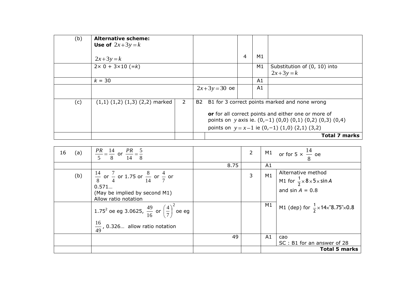| (b) | <b>Alternative scheme:</b>                  |    |               |                |    |                                                                                                                                |
|-----|---------------------------------------------|----|---------------|----------------|----|--------------------------------------------------------------------------------------------------------------------------------|
|     | Use of $2x+3y=k$                            |    |               |                |    |                                                                                                                                |
|     | $2x+3y=k$                                   |    |               | $\overline{4}$ | M1 |                                                                                                                                |
|     | $2 \times 0 + 3 \times 10 (=k)$             |    |               |                | M1 | Substitution of (0, 10) into<br>$2x+3y=k$                                                                                      |
|     |                                             |    |               |                |    |                                                                                                                                |
|     | $k = 30$                                    |    |               |                | A1 |                                                                                                                                |
|     |                                             |    | $2x+3y=30$ oe |                | A1 |                                                                                                                                |
|     |                                             |    |               |                |    |                                                                                                                                |
| (c) | 2<br>$(1,1)$ $(1,2)$ $(1,3)$ $(2,2)$ marked | B2 |               |                |    | B1 for 3 correct points marked and none wrong                                                                                  |
|     |                                             |    |               |                |    | or for all correct points and either one or more of<br>points on $y$ axis ie. $(0,-1)$ $(0,0)$ $(0,1)$ $(0,2)$ $(0,3)$ $(0,4)$ |
|     |                                             |    |               |                |    | points on $y = x-1$ ie $(0,-1)$ $(1,0)$ $(2,1)$ $(3,2)$                                                                        |
|     |                                             |    |               |                |    | <b>Total 7 marks</b>                                                                                                           |

| 16 | (a) | $\frac{PR}{5} = \frac{14}{8}$ or $\frac{PR}{14} = \frac{5}{8}$                                                                                  |      | $\overline{2}$ |                | M1 or for $5 \times \frac{14}{10}$ oe                                                           |
|----|-----|-------------------------------------------------------------------------------------------------------------------------------------------------|------|----------------|----------------|-------------------------------------------------------------------------------------------------|
|    |     |                                                                                                                                                 | 8.75 |                | A1             |                                                                                                 |
|    | (b) | $\frac{14}{8}$ or $\frac{7}{4}$ or 1.75 or $\frac{8}{14}$ or $\frac{4}{7}$ or<br>0.571<br>(May be implied by second M1)<br>Allow ratio notation |      | 3              | M1             | Alternative method<br>M1 for $\frac{1}{2} \times 8 \times 5 \times \sin A$<br>and $sin A = 0.8$ |
|    |     | 1.75 <sup>2</sup> oe eg 3.0625, $\frac{49}{16}$ or $\left(\frac{4}{7}\right)^2$ oe eg<br>$\frac{16}{49}$ , 0.326 allow ratio notation           |      |                | M1             | M1 (dep) for $\frac{1}{2} \times 14 \times 8.75 \times 0.8$                                     |
|    |     |                                                                                                                                                 | 49   |                | A <sub>1</sub> | cao                                                                                             |
|    |     |                                                                                                                                                 |      |                |                | SC: B1 for an answer of 28                                                                      |
|    |     |                                                                                                                                                 |      |                |                | <b>Total 5 marks</b>                                                                            |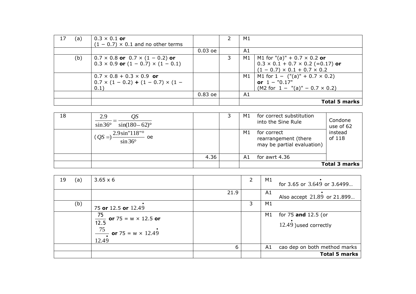| 17 | (a) | $0.3 \times 0.1$ or                              |           |   | M1                                           |
|----|-----|--------------------------------------------------|-----------|---|----------------------------------------------|
|    |     | $(1 - 0.7) \times 0.1$ and no other terms        |           |   |                                              |
|    |     |                                                  | $0.03$ oe |   | A1                                           |
|    | (b) | $0.7 \times 0.8$ or $0.7 \times (1 - 0.2)$ or    |           | 3 | M1 for "(a)" + 0.7 $\times$ 0.2 or<br>M1     |
|    |     | $0.3 \times 0.9$ or $(1 - 0.7) \times (1 - 0.1)$ |           |   | $0.3 \times 0.1 + 0.7 \times 0.2$ (=0.17) or |
|    |     |                                                  |           |   | $(1 - 0.7) \times 0.1 + 0.7 \times 0.2$      |
|    |     | $0.7 \times 0.8 + 0.3 \times 0.9$ or             |           |   | $ML for 1 - ("(a)" + 0.7 \times 0.2)$<br>M1  |
|    |     | $0.7 \times (1 - 0.2) + (1 - 0.7) \times (1 -$   |           |   | or $1 - "0.17"$                              |
|    |     | 0.1)                                             |           |   | $(M2 for 1 - "(a)" - 0.7 \times 0.2)$        |
|    |     |                                                  | $0.83$ oe |   | A1                                           |
|    |     |                                                  |           |   | <b>Total 5 marks</b>                         |

| 18 | 2.9<br>$\sin 36^\circ$<br>$\sin(180-62)$ °                               |      | د | M1 | for correct substitution<br>into the Sine Rule                    | Condone<br>use of 62 |
|----|--------------------------------------------------------------------------|------|---|----|-------------------------------------------------------------------|----------------------|
|    | 2.9 sin"118" <sup>o</sup><br>$(QS=)$<br><sub>oe</sub><br>$\sin 36^\circ$ |      |   | M1 | for correct<br>rearrangement (there<br>may be partial evaluation) | instead<br>of 118    |
|    |                                                                          | 4.36 |   | A1 | for awrt 4.36                                                     |                      |
|    |                                                                          |      |   |    |                                                                   | <b>Total 3 marks</b> |

| 19 | (a) | $3.65 \times 6$                                                                     |      | 2 | M1 | for 3.65 or 3.649 or 3.6499                   |
|----|-----|-------------------------------------------------------------------------------------|------|---|----|-----------------------------------------------|
|    |     |                                                                                     | 21.9 |   | A1 | Also accept 21.89 or 21.899                   |
|    | (b) | 75 or 12.5 or 12.49                                                                 |      | 3 | M1 |                                               |
|    |     | $\frac{1}{12.5}$ or 75 = w × 12.5 or<br>75<br>$-$ or 75 = w $\times$ 12.49<br>12.49 |      |   | M1 | for 75 and 12.5 (or<br>12.49 ) used correctly |
|    |     |                                                                                     | 6    |   | A1 | cao dep on both method marks                  |
|    |     |                                                                                     |      |   |    | <b>Total 5 marks</b>                          |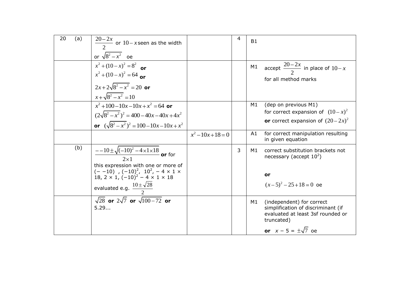| 20 | (a) | $\frac{20-2x}{2}$ or $10-x$ seen as the width<br>or $\sqrt{8^2-x^2}$ oe                                                                                                                                                                                                    |                | 4 | <b>B1</b> |                                                                                                                                                    |
|----|-----|----------------------------------------------------------------------------------------------------------------------------------------------------------------------------------------------------------------------------------------------------------------------------|----------------|---|-----------|----------------------------------------------------------------------------------------------------------------------------------------------------|
|    |     | $x^2 + (10 - x)^2 = 8^2$ or<br>$x^{2} + (10 - x)^{2} = 64$ or<br>$2x+2\sqrt{8^2-x^2}=20$ or<br>$x + \sqrt{8^2 - x^2} = 10$                                                                                                                                                 |                |   | M1        | accept $\frac{20-2x}{2}$ in place of $10-x$<br>for all method marks                                                                                |
|    |     | $x^2+100-10x-10x+x^2=64$ or<br>$(2\sqrt{8^2-x^2})^2 = 400-40x-40x+4x^2$<br>or $(\sqrt{8^2-x^2})^2 = 100-10x-10x+x^2$                                                                                                                                                       |                |   | M1        | (dep on previous M1)<br>for correct expansion of $(10-x)^2$<br>or correct expansion of $(20-2x)^2$                                                 |
|    |     |                                                                                                                                                                                                                                                                            | $x^2-10x+18=0$ |   | A1        | for correct manipulation resulting<br>in given equation                                                                                            |
|    | (b) | $\frac{-10 \pm \sqrt{(-10)^2 - 4 \times 1 \times 18}}{20}$ or for<br>this expression with one or more of<br>$(- -10)$ , $(-10)^2$ , $10^2$ , $-4 \times 1 \times$<br>18, 2 $\times$ 1, $(-10)^2$ – 4 $\times$ 1 $\times$ 18<br>evaluated e.g. $\frac{10 \pm \sqrt{28}}{2}$ |                | 3 | M1        | correct substitution brackets not<br>necessary (accept $10^2$ )<br>or<br>$(x-5)^2 - 25 + 18 = 0$ oe                                                |
|    |     | $\sqrt{28}$ or $2\sqrt{7}$ or $\sqrt{100-72}$ or<br>5.29                                                                                                                                                                                                                   |                |   | M1        | (independent) for correct<br>simplification of discriminant (if<br>evaluated at least 3sf rounded or<br>truncated)<br>or $x - 5 = \pm \sqrt{7}$ oe |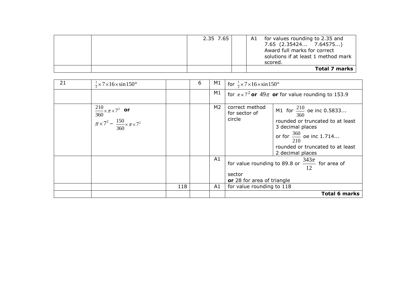|  | 2.35 7.65 |  | A1 for values rounding to 2.35 and<br>7.65 (2.35424 7.64575)<br>Award full marks for correct<br>solutions if at least 1 method mark<br>scored. |
|--|-----------|--|------------------------------------------------------------------------------------------------------------------------------------------------|
|  |           |  | Total 7 marks                                                                                                                                  |

| 21 | $\frac{1}{2}$ × 7 × 16 × sin 150 <sup>o</sup>                                                               |     | 6 | M1       | for $\frac{1}{2} \times 7 \times 16 \times \sin 150^{\circ}$                                                                                                                                                                                 |
|----|-------------------------------------------------------------------------------------------------------------|-----|---|----------|----------------------------------------------------------------------------------------------------------------------------------------------------------------------------------------------------------------------------------------------|
|    |                                                                                                             |     |   | M1       | for $\pi \times 7^2$ or 49 $\pi$ or for value rounding to 153.9                                                                                                                                                                              |
|    | $\int \frac{210}{360} \times \pi \times 7^2$ or<br>$\pi \times 7^2 - \frac{150}{360} \times \pi \times 7^2$ |     |   | M2       | correct method<br>M1 for $\frac{210}{360}$ oe inc 0.5833<br>for sector of<br>circle<br>rounded or truncated to at least<br>3 decimal places<br>or for $\frac{360}{210}$ oe inc 1.714<br>rounded or truncated to at least<br>2 decimal places |
|    |                                                                                                             | 118 |   | A1<br>A1 | for value rounding to 89.8 or $\frac{343\pi}{12}$ for area of<br>sector<br>or 28 for area of triangle<br>for value rounding to 118                                                                                                           |
|    |                                                                                                             |     |   |          | Total 6 marks                                                                                                                                                                                                                                |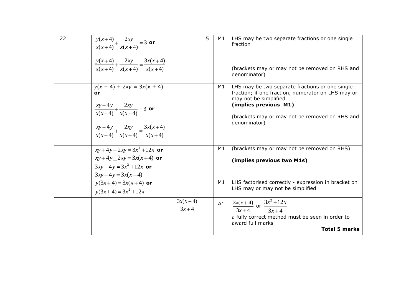| 22 | $\frac{y(x+4)}{x(x+4)} + \frac{2xy}{x(x+4)} = 3$ or<br>$\frac{y(x+4)}{x(x+4)} + \frac{2xy}{x(x+4)} = \frac{3x(x+4)}{x(x+4)}$                                   |                               | 5 | M1 | LHS may be two separate fractions or one single<br>fraction<br>(brackets may or may not be removed on RHS and<br>denominator)                                                                                             |
|----|----------------------------------------------------------------------------------------------------------------------------------------------------------------|-------------------------------|---|----|---------------------------------------------------------------------------------------------------------------------------------------------------------------------------------------------------------------------------|
|    | $y(x + 4) + 2xy = 3x(x + 4)$<br>or<br>$rac{xy+4y}{x(x+4)} + \frac{2xy}{x(x+4)} = 3$ or<br>$\frac{xy+4y}{x(x+4)} + \frac{2xy}{x(x+4)} = \frac{3x(x+4)}{x(x+4)}$ |                               |   | M1 | LHS may be two separate fractions or one single<br>fraction; if one fraction, numerator on LHS may or<br>may not be simplified<br>(implies previous M1)<br>(brackets may or may not be removed on RHS and<br>denominator) |
|    | $xy + 4y + 2xy = 3x^2 + 12x$ or<br>$xy+4y-2xy=3x(x+4)$ or<br>$3xy+4y=3x^2+12x$ or<br>$3xy+4y=3x(x+4)$                                                          |                               |   | M1 | (brackets may or may not be removed on RHS)<br>(implies previous two M1s)                                                                                                                                                 |
|    | $y(3x+4) = 3x(x+4)$ or<br>$y(3x+4) = 3x^2 + 12x$                                                                                                               |                               |   | M1 | LHS factorised correctly - expression in bracket on<br>LHS may or may not be simplified                                                                                                                                   |
|    |                                                                                                                                                                | $3x(x+4)$<br>$\frac{3x+4}{7}$ |   | A1 | $\frac{3x(x+4)}{3x+4}$ or $\frac{3x^2+12x}{3x+4}$<br>a fully correct method must be seen in order to<br>award full marks<br><b>Total 5 marks</b>                                                                          |
|    |                                                                                                                                                                |                               |   |    |                                                                                                                                                                                                                           |